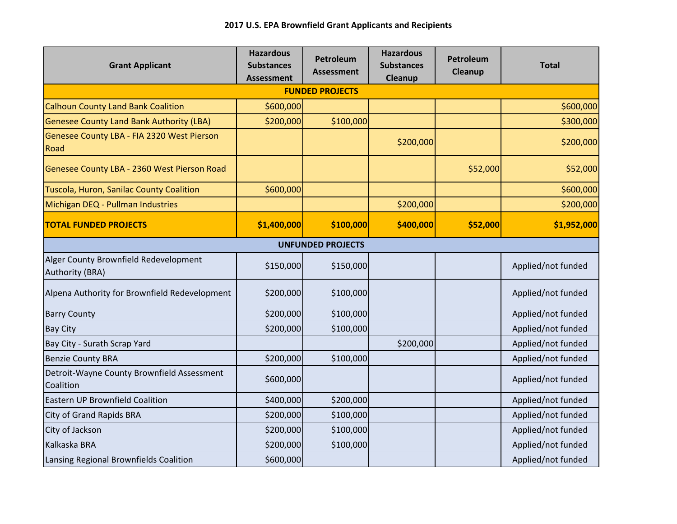| <b>Grant Applicant</b>                                   | <b>Hazardous</b><br><b>Substances</b><br><b>Assessment</b> | Petroleum<br><b>Assessment</b> | <b>Hazardous</b><br><b>Substances</b><br>Cleanup | Petroleum<br>Cleanup | <b>Total</b>       |  |  |  |  |
|----------------------------------------------------------|------------------------------------------------------------|--------------------------------|--------------------------------------------------|----------------------|--------------------|--|--|--|--|
| <b>FUNDED PROJECTS</b>                                   |                                                            |                                |                                                  |                      |                    |  |  |  |  |
| <b>Calhoun County Land Bank Coalition</b>                | \$600,000                                                  |                                |                                                  |                      | \$600,000          |  |  |  |  |
| <b>Genesee County Land Bank Authority (LBA)</b>          | \$200,000                                                  | \$100,000                      |                                                  |                      | \$300,000          |  |  |  |  |
| Genesee County LBA - FIA 2320 West Pierson<br>Road       |                                                            |                                | \$200,000                                        |                      | \$200,000          |  |  |  |  |
| Genesee County LBA - 2360 West Pierson Road              |                                                            |                                |                                                  | \$52,000             | \$52,000           |  |  |  |  |
| Tuscola, Huron, Sanilac County Coalition                 | \$600,000                                                  |                                |                                                  |                      | \$600,000          |  |  |  |  |
| Michigan DEQ - Pullman Industries                        |                                                            |                                | \$200,000                                        |                      | \$200,000          |  |  |  |  |
| <b>TOTAL FUNDED PROJECTS</b>                             | \$1,400,000                                                | \$100,000                      | \$400,000                                        | \$52,000             | \$1,952,000        |  |  |  |  |
| <b>UNFUNDED PROJECTS</b>                                 |                                                            |                                |                                                  |                      |                    |  |  |  |  |
| Alger County Brownfield Redevelopment<br>Authority (BRA) | \$150,000                                                  | \$150,000                      |                                                  |                      | Applied/not funded |  |  |  |  |
| Alpena Authority for Brownfield Redevelopment            | \$200,000                                                  | \$100,000                      |                                                  |                      | Applied/not funded |  |  |  |  |
| <b>Barry County</b>                                      | \$200,000                                                  | \$100,000                      |                                                  |                      | Applied/not funded |  |  |  |  |
| <b>Bay City</b>                                          | \$200,000                                                  | \$100,000                      |                                                  |                      | Applied/not funded |  |  |  |  |
| Bay City - Surath Scrap Yard                             |                                                            |                                | \$200,000                                        |                      | Applied/not funded |  |  |  |  |
| <b>Benzie County BRA</b>                                 | \$200,000                                                  | \$100,000                      |                                                  |                      | Applied/not funded |  |  |  |  |
| Detroit-Wayne County Brownfield Assessment<br>Coalition  | \$600,000                                                  |                                |                                                  |                      | Applied/not funded |  |  |  |  |
| <b>Eastern UP Brownfield Coalition</b>                   | \$400,000                                                  | \$200,000                      |                                                  |                      | Applied/not funded |  |  |  |  |
| City of Grand Rapids BRA                                 | \$200,000                                                  | \$100,000                      |                                                  |                      | Applied/not funded |  |  |  |  |
| City of Jackson                                          | \$200,000                                                  | \$100,000                      |                                                  |                      | Applied/not funded |  |  |  |  |
| Kalkaska BRA                                             | \$200,000                                                  | \$100,000                      |                                                  |                      | Applied/not funded |  |  |  |  |
| Lansing Regional Brownfields Coalition                   | \$600,000                                                  |                                |                                                  |                      | Applied/not funded |  |  |  |  |